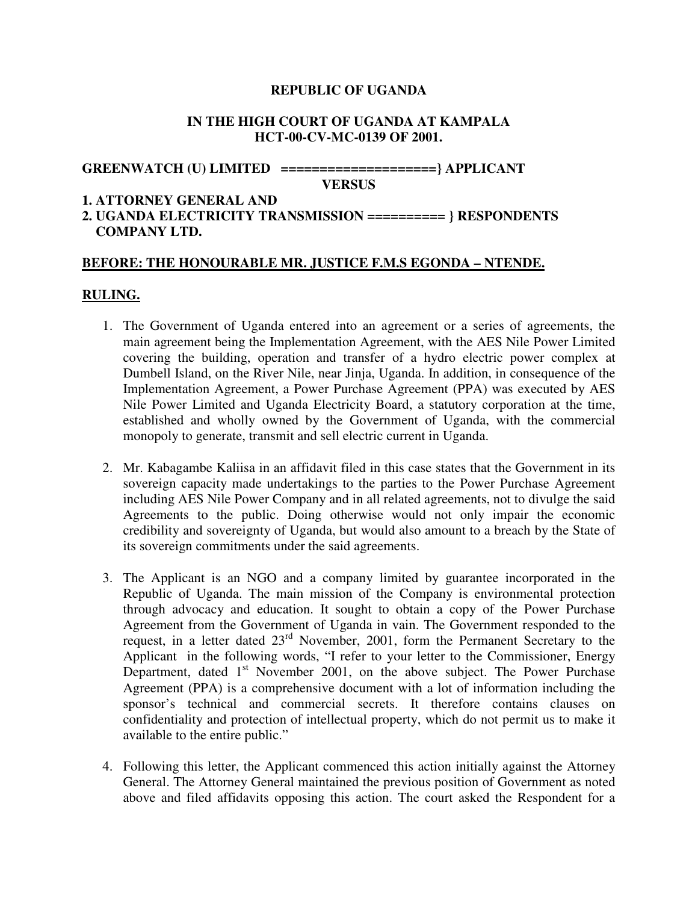## **REPUBLIC OF UGANDA**

#### **IN THE HIGH COURT OF UGANDA AT KAMPALA HCT-00-CV-MC-0139 OF 2001.**

# **GREENWATCH (U) LIMITED ====================} APPLICANT**

**VERSUS** 

#### **1. ATTORNEY GENERAL AND**

# **2. UGANDA ELECTRICITY TRANSMISSION ========== } RESPONDENTS COMPANY LTD.**

#### **BEFORE: THE HONOURABLE MR. JUSTICE F.M.S EGONDA – NTENDE.**

## **RULING.**

- 1. The Government of Uganda entered into an agreement or a series of agreements, the main agreement being the Implementation Agreement, with the AES Nile Power Limited covering the building, operation and transfer of a hydro electric power complex at Dumbell Island, on the River Nile, near Jinja, Uganda. In addition, in consequence of the Implementation Agreement, a Power Purchase Agreement (PPA) was executed by AES Nile Power Limited and Uganda Electricity Board, a statutory corporation at the time, established and wholly owned by the Government of Uganda, with the commercial monopoly to generate, transmit and sell electric current in Uganda.
- 2. Mr. Kabagambe Kaliisa in an affidavit filed in this case states that the Government in its sovereign capacity made undertakings to the parties to the Power Purchase Agreement including AES Nile Power Company and in all related agreements, not to divulge the said Agreements to the public. Doing otherwise would not only impair the economic credibility and sovereignty of Uganda, but would also amount to a breach by the State of its sovereign commitments under the said agreements.
- 3. The Applicant is an NGO and a company limited by guarantee incorporated in the Republic of Uganda. The main mission of the Company is environmental protection through advocacy and education. It sought to obtain a copy of the Power Purchase Agreement from the Government of Uganda in vain. The Government responded to the request, in a letter dated  $23<sup>rd</sup>$  November, 2001, form the Permanent Secretary to the Applicant in the following words, "I refer to your letter to the Commissioner, Energy Department, dated  $1<sup>st</sup>$  November 2001, on the above subject. The Power Purchase Agreement (PPA) is a comprehensive document with a lot of information including the sponsor's technical and commercial secrets. It therefore contains clauses on confidentiality and protection of intellectual property, which do not permit us to make it available to the entire public."
- 4. Following this letter, the Applicant commenced this action initially against the Attorney General. The Attorney General maintained the previous position of Government as noted above and filed affidavits opposing this action. The court asked the Respondent for a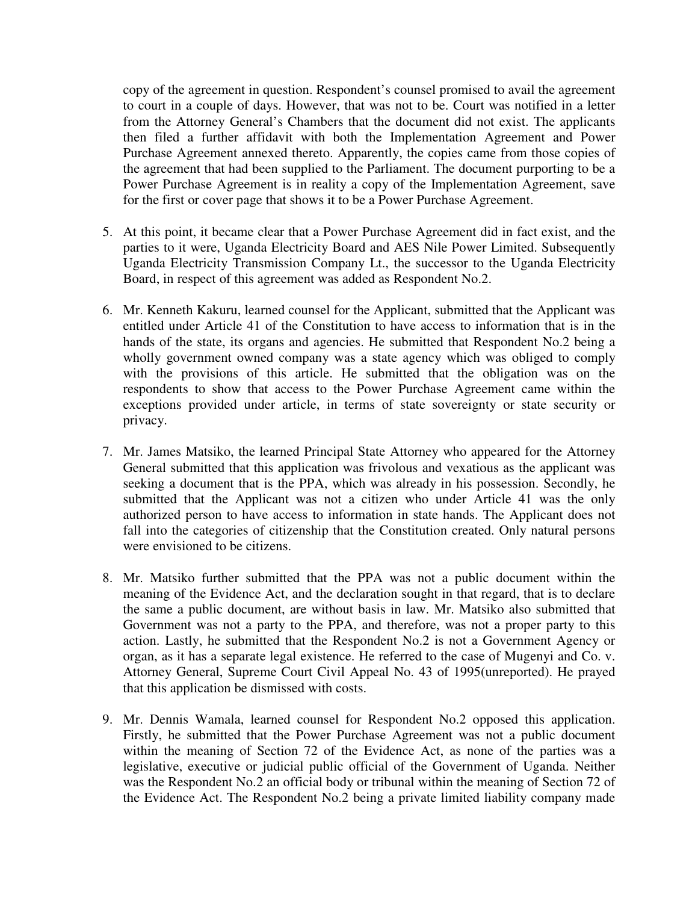copy of the agreement in question. Respondent's counsel promised to avail the agreement to court in a couple of days. However, that was not to be. Court was notified in a letter from the Attorney General's Chambers that the document did not exist. The applicants then filed a further affidavit with both the Implementation Agreement and Power Purchase Agreement annexed thereto. Apparently, the copies came from those copies of the agreement that had been supplied to the Parliament. The document purporting to be a Power Purchase Agreement is in reality a copy of the Implementation Agreement, save for the first or cover page that shows it to be a Power Purchase Agreement.

- 5. At this point, it became clear that a Power Purchase Agreement did in fact exist, and the parties to it were, Uganda Electricity Board and AES Nile Power Limited. Subsequently Uganda Electricity Transmission Company Lt., the successor to the Uganda Electricity Board, in respect of this agreement was added as Respondent No.2.
- 6. Mr. Kenneth Kakuru, learned counsel for the Applicant, submitted that the Applicant was entitled under Article 41 of the Constitution to have access to information that is in the hands of the state, its organs and agencies. He submitted that Respondent No.2 being a wholly government owned company was a state agency which was obliged to comply with the provisions of this article. He submitted that the obligation was on the respondents to show that access to the Power Purchase Agreement came within the exceptions provided under article, in terms of state sovereignty or state security or privacy.
- 7. Mr. James Matsiko, the learned Principal State Attorney who appeared for the Attorney General submitted that this application was frivolous and vexatious as the applicant was seeking a document that is the PPA, which was already in his possession. Secondly, he submitted that the Applicant was not a citizen who under Article 41 was the only authorized person to have access to information in state hands. The Applicant does not fall into the categories of citizenship that the Constitution created. Only natural persons were envisioned to be citizens.
- 8. Mr. Matsiko further submitted that the PPA was not a public document within the meaning of the Evidence Act, and the declaration sought in that regard, that is to declare the same a public document, are without basis in law. Mr. Matsiko also submitted that Government was not a party to the PPA, and therefore, was not a proper party to this action. Lastly, he submitted that the Respondent No.2 is not a Government Agency or organ, as it has a separate legal existence. He referred to the case of Mugenyi and Co. v. Attorney General, Supreme Court Civil Appeal No. 43 of 1995(unreported). He prayed that this application be dismissed with costs.
- 9. Mr. Dennis Wamala, learned counsel for Respondent No.2 opposed this application. Firstly, he submitted that the Power Purchase Agreement was not a public document within the meaning of Section 72 of the Evidence Act, as none of the parties was a legislative, executive or judicial public official of the Government of Uganda. Neither was the Respondent No.2 an official body or tribunal within the meaning of Section 72 of the Evidence Act. The Respondent No.2 being a private limited liability company made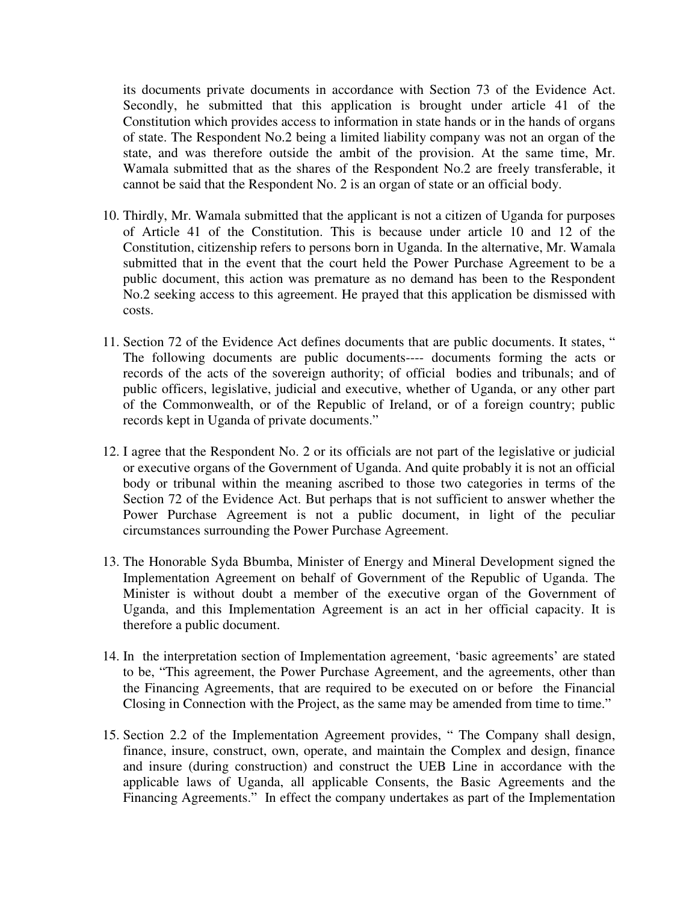its documents private documents in accordance with Section 73 of the Evidence Act. Secondly, he submitted that this application is brought under article 41 of the Constitution which provides access to information in state hands or in the hands of organs of state. The Respondent No.2 being a limited liability company was not an organ of the state, and was therefore outside the ambit of the provision. At the same time, Mr. Wamala submitted that as the shares of the Respondent No.2 are freely transferable, it cannot be said that the Respondent No. 2 is an organ of state or an official body.

- 10. Thirdly, Mr. Wamala submitted that the applicant is not a citizen of Uganda for purposes of Article 41 of the Constitution. This is because under article 10 and 12 of the Constitution, citizenship refers to persons born in Uganda. In the alternative, Mr. Wamala submitted that in the event that the court held the Power Purchase Agreement to be a public document, this action was premature as no demand has been to the Respondent No.2 seeking access to this agreement. He prayed that this application be dismissed with costs.
- 11. Section 72 of the Evidence Act defines documents that are public documents. It states, " The following documents are public documents---- documents forming the acts or records of the acts of the sovereign authority; of official bodies and tribunals; and of public officers, legislative, judicial and executive, whether of Uganda, or any other part of the Commonwealth, or of the Republic of Ireland, or of a foreign country; public records kept in Uganda of private documents."
- 12. I agree that the Respondent No. 2 or its officials are not part of the legislative or judicial or executive organs of the Government of Uganda. And quite probably it is not an official body or tribunal within the meaning ascribed to those two categories in terms of the Section 72 of the Evidence Act. But perhaps that is not sufficient to answer whether the Power Purchase Agreement is not a public document, in light of the peculiar circumstances surrounding the Power Purchase Agreement.
- 13. The Honorable Syda Bbumba, Minister of Energy and Mineral Development signed the Implementation Agreement on behalf of Government of the Republic of Uganda. The Minister is without doubt a member of the executive organ of the Government of Uganda, and this Implementation Agreement is an act in her official capacity. It is therefore a public document.
- 14. In the interpretation section of Implementation agreement, 'basic agreements' are stated to be, "This agreement, the Power Purchase Agreement, and the agreements, other than the Financing Agreements, that are required to be executed on or before the Financial Closing in Connection with the Project, as the same may be amended from time to time."
- 15. Section 2.2 of the Implementation Agreement provides, " The Company shall design, finance, insure, construct, own, operate, and maintain the Complex and design, finance and insure (during construction) and construct the UEB Line in accordance with the applicable laws of Uganda, all applicable Consents, the Basic Agreements and the Financing Agreements." In effect the company undertakes as part of the Implementation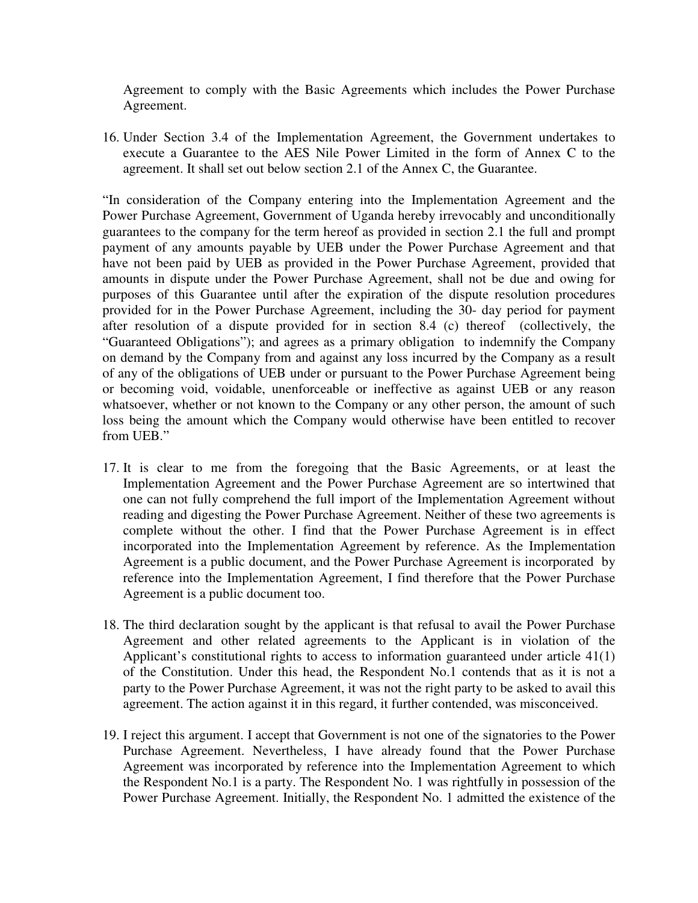Agreement to comply with the Basic Agreements which includes the Power Purchase Agreement.

16. Under Section 3.4 of the Implementation Agreement, the Government undertakes to execute a Guarantee to the AES Nile Power Limited in the form of Annex C to the agreement. It shall set out below section 2.1 of the Annex C, the Guarantee.

"In consideration of the Company entering into the Implementation Agreement and the Power Purchase Agreement, Government of Uganda hereby irrevocably and unconditionally guarantees to the company for the term hereof as provided in section 2.1 the full and prompt payment of any amounts payable by UEB under the Power Purchase Agreement and that have not been paid by UEB as provided in the Power Purchase Agreement, provided that amounts in dispute under the Power Purchase Agreement, shall not be due and owing for purposes of this Guarantee until after the expiration of the dispute resolution procedures provided for in the Power Purchase Agreement, including the 30- day period for payment after resolution of a dispute provided for in section  $8.4$  (c) thereof (collectively, the "Guaranteed Obligations"); and agrees as a primary obligation to indemnify the Company on demand by the Company from and against any loss incurred by the Company as a result of any of the obligations of UEB under or pursuant to the Power Purchase Agreement being or becoming void, voidable, unenforceable or ineffective as against UEB or any reason whatsoever, whether or not known to the Company or any other person, the amount of such loss being the amount which the Company would otherwise have been entitled to recover from UEB."

- 17. It is clear to me from the foregoing that the Basic Agreements, or at least the Implementation Agreement and the Power Purchase Agreement are so intertwined that one can not fully comprehend the full import of the Implementation Agreement without reading and digesting the Power Purchase Agreement. Neither of these two agreements is complete without the other. I find that the Power Purchase Agreement is in effect incorporated into the Implementation Agreement by reference. As the Implementation Agreement is a public document, and the Power Purchase Agreement is incorporated by reference into the Implementation Agreement, I find therefore that the Power Purchase Agreement is a public document too.
- 18. The third declaration sought by the applicant is that refusal to avail the Power Purchase Agreement and other related agreements to the Applicant is in violation of the Applicant's constitutional rights to access to information guaranteed under article 41(1) of the Constitution. Under this head, the Respondent No.1 contends that as it is not a party to the Power Purchase Agreement, it was not the right party to be asked to avail this agreement. The action against it in this regard, it further contended, was misconceived.
- 19. I reject this argument. I accept that Government is not one of the signatories to the Power Purchase Agreement. Nevertheless, I have already found that the Power Purchase Agreement was incorporated by reference into the Implementation Agreement to which the Respondent No.1 is a party. The Respondent No. 1 was rightfully in possession of the Power Purchase Agreement. Initially, the Respondent No. 1 admitted the existence of the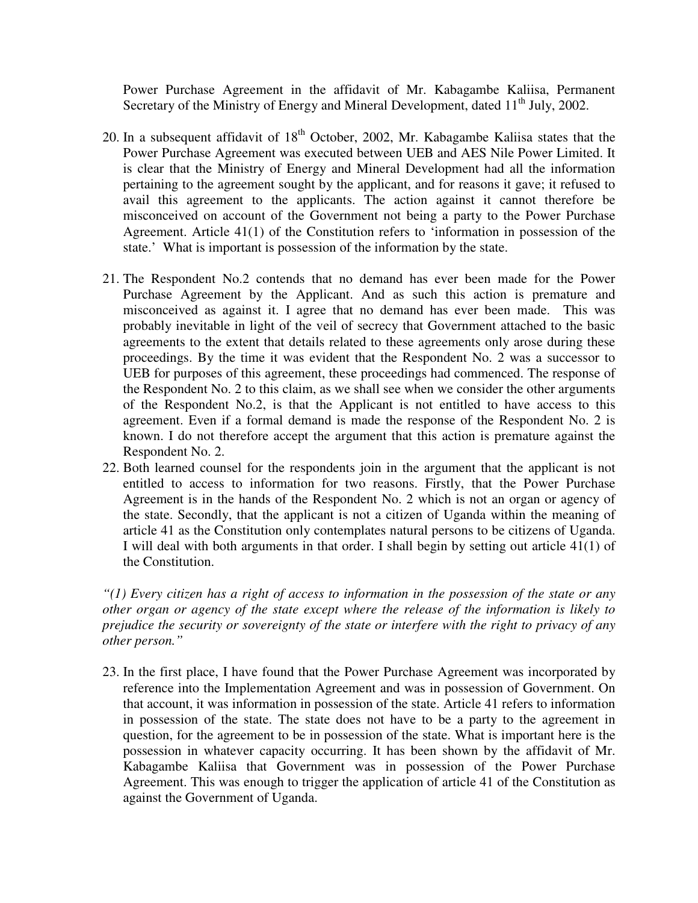Power Purchase Agreement in the affidavit of Mr. Kabagambe Kaliisa, Permanent Secretary of the Ministry of Energy and Mineral Development, dated  $11<sup>th</sup>$  July, 2002.

- 20. In a subsequent affidavit of  $18<sup>th</sup>$  October, 2002, Mr. Kabagambe Kaliisa states that the Power Purchase Agreement was executed between UEB and AES Nile Power Limited. It is clear that the Ministry of Energy and Mineral Development had all the information pertaining to the agreement sought by the applicant, and for reasons it gave; it refused to avail this agreement to the applicants. The action against it cannot therefore be misconceived on account of the Government not being a party to the Power Purchase Agreement. Article 41(1) of the Constitution refers to 'information in possession of the state.' What is important is possession of the information by the state.
- 21. The Respondent No.2 contends that no demand has ever been made for the Power Purchase Agreement by the Applicant. And as such this action is premature and misconceived as against it. I agree that no demand has ever been made. This was probably inevitable in light of the veil of secrecy that Government attached to the basic agreements to the extent that details related to these agreements only arose during these proceedings. By the time it was evident that the Respondent No. 2 was a successor to UEB for purposes of this agreement, these proceedings had commenced. The response of the Respondent No. 2 to this claim, as we shall see when we consider the other arguments of the Respondent No.2, is that the Applicant is not entitled to have access to this agreement. Even if a formal demand is made the response of the Respondent No. 2 is known. I do not therefore accept the argument that this action is premature against the Respondent No. 2.
- 22. Both learned counsel for the respondents join in the argument that the applicant is not entitled to access to information for two reasons. Firstly, that the Power Purchase Agreement is in the hands of the Respondent No. 2 which is not an organ or agency of the state. Secondly, that the applicant is not a citizen of Uganda within the meaning of article 41 as the Constitution only contemplates natural persons to be citizens of Uganda. I will deal with both arguments in that order. I shall begin by setting out article 41(1) of the Constitution.

*"(1) Every citizen has a right of access to information in the possession of the state or any other organ or agency of the state except where the release of the information is likely to prejudice the security or sovereignty of the state or interfere with the right to privacy of any other person."* 

23. In the first place, I have found that the Power Purchase Agreement was incorporated by reference into the Implementation Agreement and was in possession of Government. On that account, it was information in possession of the state. Article 41 refers to information in possession of the state. The state does not have to be a party to the agreement in question, for the agreement to be in possession of the state. What is important here is the possession in whatever capacity occurring. It has been shown by the affidavit of Mr. Kabagambe Kaliisa that Government was in possession of the Power Purchase Agreement. This was enough to trigger the application of article 41 of the Constitution as against the Government of Uganda.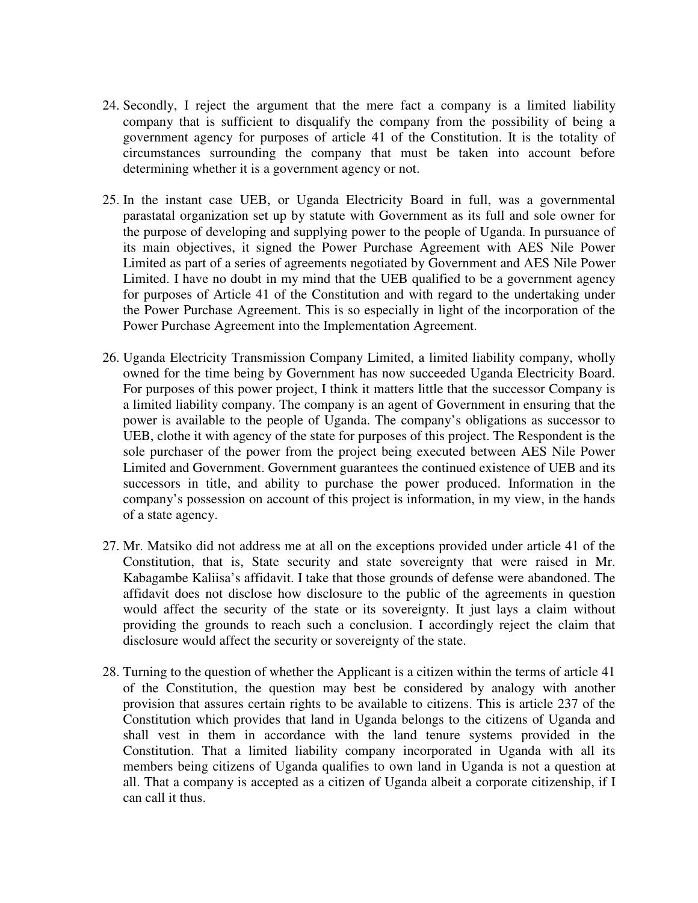- 24. Secondly, I reject the argument that the mere fact a company is a limited liability company that is sufficient to disqualify the company from the possibility of being a government agency for purposes of article 41 of the Constitution. It is the totality of circumstances surrounding the company that must be taken into account before determining whether it is a government agency or not.
- 25. In the instant case UEB, or Uganda Electricity Board in full, was a governmental parastatal organization set up by statute with Government as its full and sole owner for the purpose of developing and supplying power to the people of Uganda. In pursuance of its main objectives, it signed the Power Purchase Agreement with AES Nile Power Limited as part of a series of agreements negotiated by Government and AES Nile Power Limited. I have no doubt in my mind that the UEB qualified to be a government agency for purposes of Article 41 of the Constitution and with regard to the undertaking under the Power Purchase Agreement. This is so especially in light of the incorporation of the Power Purchase Agreement into the Implementation Agreement.
- 26. Uganda Electricity Transmission Company Limited, a limited liability company, wholly owned for the time being by Government has now succeeded Uganda Electricity Board. For purposes of this power project, I think it matters little that the successor Company is a limited liability company. The company is an agent of Government in ensuring that the power is available to the people of Uganda. The company's obligations as successor to UEB, clothe it with agency of the state for purposes of this project. The Respondent is the sole purchaser of the power from the project being executed between AES Nile Power Limited and Government. Government guarantees the continued existence of UEB and its successors in title, and ability to purchase the power produced. Information in the company's possession on account of this project is information, in my view, in the hands of a state agency.
- 27. Mr. Matsiko did not address me at all on the exceptions provided under article 41 of the Constitution, that is, State security and state sovereignty that were raised in Mr. Kabagambe Kaliisa's affidavit. I take that those grounds of defense were abandoned. The affidavit does not disclose how disclosure to the public of the agreements in question would affect the security of the state or its sovereignty. It just lays a claim without providing the grounds to reach such a conclusion. I accordingly reject the claim that disclosure would affect the security or sovereignty of the state.
- 28. Turning to the question of whether the Applicant is a citizen within the terms of article 41 of the Constitution, the question may best be considered by analogy with another provision that assures certain rights to be available to citizens. This is article 237 of the Constitution which provides that land in Uganda belongs to the citizens of Uganda and shall vest in them in accordance with the land tenure systems provided in the Constitution. That a limited liability company incorporated in Uganda with all its members being citizens of Uganda qualifies to own land in Uganda is not a question at all. That a company is accepted as a citizen of Uganda albeit a corporate citizenship, if I can call it thus.